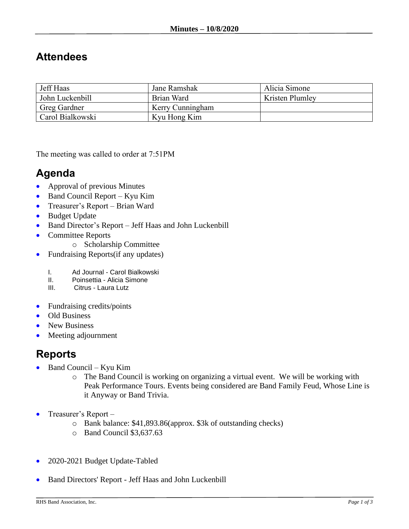## **Attendees**

| Jeff Haas        | Jane Ramshak     | Alicia Simone          |
|------------------|------------------|------------------------|
| John Luckenbill  | Brian Ward       | <b>Kristen Plumley</b> |
| Greg Gardner     | Kerry Cunningham |                        |
| Carol Bialkowski | Kyu Hong Kim     |                        |

The meeting was called to order at 7:51PM

## **Agenda**

- Approval of previous Minutes
- Band Council Report Kyu Kim
- Treasurer's Report Brian Ward
- Budget Update
- Band Director's Report Jeff Haas and John Luckenbill
- Committee Reports
	- o Scholarship Committee
- Fundraising Reports(if any updates)
	- I. Ad Journal Carol Bialkowski<br>II. Poinsettia Alicia Simone
	- Poinsettia Alicia Simone
	- III. Citrus Laura Lutz
- Fundraising credits/points
- Old Business
- New Business
- Meeting adjournment

## **Reports**

- Band Council Kyu Kim
	- o The Band Council is working on organizing a virtual event. We will be working with Peak Performance Tours. Events being considered are Band Family Feud, Whose Line is it Anyway or Band Trivia.
- Treasurer's Report
	- o Bank balance: \$41,893.86(approx. \$3k of outstanding checks)
	- o Band Council \$3,637.63
- 2020-2021 Budget Update-Tabled
- Band Directors' Report Jeff Haas and John Luckenbill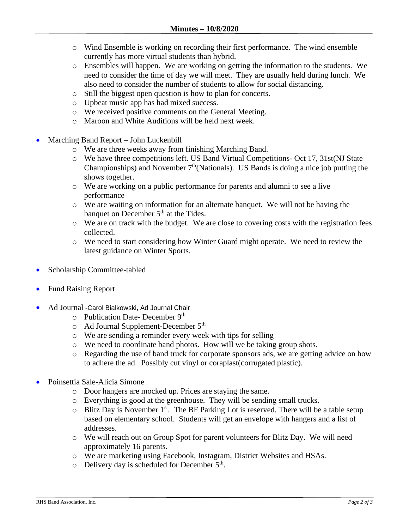- o Wind Ensemble is working on recording their first performance. The wind ensemble currently has more virtual students than hybrid.
- o Ensembles will happen. We are working on getting the information to the students. We need to consider the time of day we will meet. They are usually held during lunch. We also need to consider the number of students to allow for social distancing.
- o Still the biggest open question is how to plan for concerts.
- o Upbeat music app has had mixed success.
- o We received positive comments on the General Meeting.
- o Maroon and White Auditions will be held next week.
- Marching Band Report John Luckenbill
	- o We are three weeks away from finishing Marching Band.
	- o We have three competitions left. US Band Virtual Competitions- Oct 17, 31st(NJ State Championships) and November  $7<sup>th</sup>$ (Nationals). US Bands is doing a nice job putting the shows together.
	- o We are working on a public performance for parents and alumni to see a live performance
	- o We are waiting on information for an alternate banquet. We will not be having the banquet on December  $5<sup>th</sup>$  at the Tides.
	- o We are on track with the budget. We are close to covering costs with the registration fees collected.
	- o We need to start considering how Winter Guard might operate. We need to review the latest guidance on Winter Sports.
- Scholarship Committee-tabled
- Fund Raising Report
- Ad Journal -Carol Bialkowski, Ad Journal Chair
	- $\circ$  Publication Date- December 9<sup>th</sup>
	- o Ad Journal Supplement-December 5th
	- o We are sending a reminder every week with tips for selling
	- o We need to coordinate band photos. How will we be taking group shots.
	- o Regarding the use of band truck for corporate sponsors ads, we are getting advice on how to adhere the ad. Possibly cut vinyl or coraplast(corrugated plastic).
- Poinsettia Sale-Alicia Simone
	- o Door hangers are mocked up. Prices are staying the same.
	- o Everything is good at the greenhouse. They will be sending small trucks.
	- $\circ$  Blitz Day is November 1<sup>st</sup>. The BF Parking Lot is reserved. There will be a table setup based on elementary school. Students will get an envelope with hangers and a list of addresses.
	- o We will reach out on Group Spot for parent volunteers for Blitz Day. We will need approximately 16 parents.
	- o We are marketing using Facebook, Instagram, District Websites and HSAs.
	- $\circ$  Delivery day is scheduled for December  $5<sup>th</sup>$ .